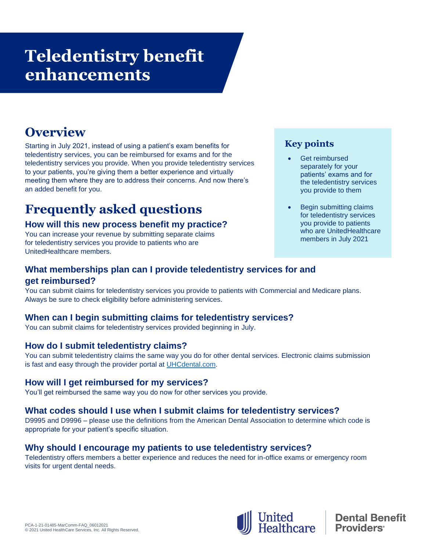# **Teledentistry benefit enhancements**

## **Overview**

Starting in July 2021, instead of using a patient's exam benefits for teledentistry services, you can be reimbursed for exams and for the teledentistry services you provide. When you provide teledentistry services to your patients, you're giving them a better experience and virtually meeting them where they are to address their concerns. And now there's an added benefit for you.

### **Frequently asked questions**

#### **How will this new process benefit my practice?**

You can increase your revenue by submitting separate claims for teledentistry services you provide to patients who are UnitedHealthcare members.

#### **Key points**

- Get reimbursed separately for your patients' exams and for the teledentistry services you provide to them
- Begin submitting claims for teledentistry services you provide to patients who are UnitedHealthcare members in July 2021

#### **What memberships plan can I provide teledentistry services for and get reimbursed?**

You can submit claims for teledentistry services you provide to patients with Commercial and Medicare plans. Always be sure to check eligibility before administering services.

#### **When can I begin submitting claims for teledentistry services?**

You can submit claims for teledentistry services provided beginning in July.

#### **How do I submit teledentistry claims?**

You can submit teledentistry claims the same way you do for other dental services. Electronic claims submission is fast and easy through the provider portal at UHCdental.com.

#### **How will I get reimbursed for my services?**

You'll get reimbursed the same way you do now for other services you provide.

#### **What codes should I use when I submit claims for teledentistry services?**

D9995 and D9996 – please use the definitions from the American Dental Association to determine which code is appropriate for your patient's specific situation.

#### **Why should I encourage my patients to use teledentistry services?**

Teledentistry offers members a better experience and reduces the need for in-office exams or emergency room visits for urgent dental needs.



**Dental Benefit Providers**